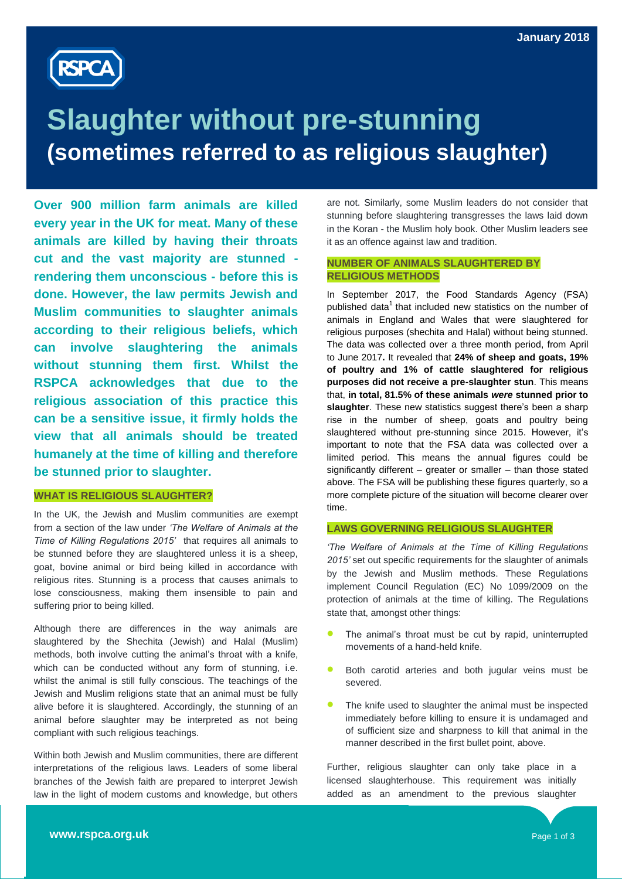

# **Slaughter without pre-stunning (sometimes referred to as religious slaughter)**

**Over 900 million farm animals are killed every year in the UK for meat. Many of these animals are killed by having their throats cut and the vast majority are stunned rendering them unconscious - before this is done. However, the law permits Jewish and Muslim communities to slaughter animals according to their religious beliefs, which can involve slaughtering the animals without stunning them first. Whilst the RSPCA acknowledges that due to the religious association of this practice this can be a sensitive issue, it firmly holds the view that all animals should be treated humanely at the time of killing and therefore be stunned prior to slaughter.** 

#### **WHAT IS RELIGIOUS SLAUGHTER?**

In the UK, the Jewish and Muslim communities are exempt from a section of the law under *"The Welfare of Animals at the Time of Killing Regulations 2015"* that requires all animals to be stunned before they are slaughtered unless it is a sheep, goat, bovine animal or bird being killed in accordance with religious rites. Stunning is a process that causes animals to lose consciousness, making them insensible to pain and suffering prior to being killed.

Although there are differences in the way animals are slaughtered by the Shechita (Jewish) and Halal (Muslim) methods, both involve cutting the animal"s throat with a knife, which can be conducted without any form of stunning, i.e. whilst the animal is still fully conscious. The teachings of the Jewish and Muslim religions state that an animal must be fully alive before it is slaughtered. Accordingly, the stunning of an animal before slaughter may be interpreted as not being compliant with such religious teachings.

Within both Jewish and Muslim communities, there are different interpretations of the religious laws. Leaders of some liberal branches of the Jewish faith are prepared to interpret Jewish law in the light of modern customs and knowledge, but others

are not. Similarly, some Muslim leaders do not consider that stunning before slaughtering transgresses the laws laid down in the Koran - the Muslim holy book. Other Muslim leaders see it as an offence against law and tradition.

### **NUMBER OF ANIMALS SLAUGHTERED BY RELIGIOUS METHODS**

In September 2017, the Food Standards Agency (FSA) published data<sup>1</sup> that included new statistics on the number of animals in England and Wales that were slaughtered for religious purposes (shechita and Halal) without being stunned. The data was collected over a three month period, from April to June 2017**.** It revealed that **24% of sheep and goats, 19% of poultry and 1% of cattle slaughtered for religious purposes did not receive a pre-slaughter stun**. This means that, **in total, 81.5% of these animals** *were* **stunned prior to**  slaughter. These new statistics suggest there's been a sharp rise in the number of sheep, goats and poultry being slaughtered without pre-stunning since 2015. However, it's important to note that the FSA data was collected over a limited period. This means the annual figures could be significantly different – greater or smaller – than those stated above. The FSA will be publishing these figures quarterly, so a more complete picture of the situation will become clearer over time.

#### **LAWS GOVERNING RELIGIOUS SLAUGHTER**

*"The Welfare of Animals at the Time of Killing Regulations 2015"* set out specific requirements for the slaughter of animals by the Jewish and Muslim methods. These Regulations implement Council Regulation (EC) No 1099/2009 on the protection of animals at the time of killing. The Regulations state that, amongst other things:

- The animal"s throat must be cut by rapid, uninterrupted movements of a hand-held knife.
- **Both carotid arteries and both jugular veins must be** severed.
- The knife used to slaughter the animal must be inspected immediately before killing to ensure it is undamaged and of sufficient size and sharpness to kill that animal in the manner described in the first bullet point, above.

Further, religious slaughter can only take place in a licensed slaughterhouse. This requirement was initially added as an amendment to the previous slaughter

legislation, following lobbying by the RSPCA.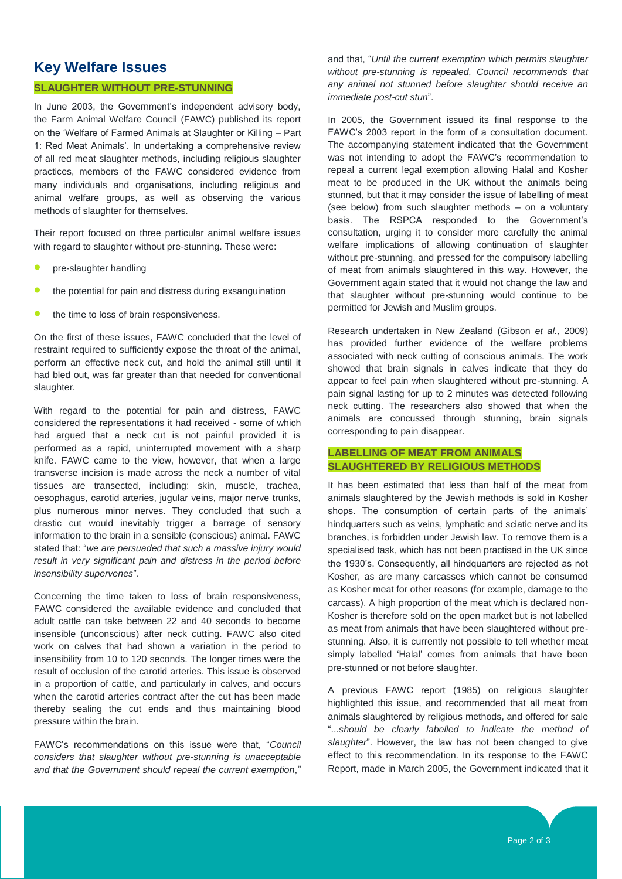## **Key Welfare Issues**

#### **SLAUGHTER WITHOUT PRE-STUNNING**

In June 2003, the Government's independent advisory body, the Farm Animal Welfare Council (FAWC) published its report on the "Welfare of Farmed Animals at Slaughter or Killing – Part 1: Red Meat Animals". In undertaking a comprehensive review of all red meat slaughter methods, including religious slaughter practices, members of the FAWC considered evidence from many individuals and organisations, including religious and animal welfare groups, as well as observing the various methods of slaughter for themselves.

Their report focused on three particular animal welfare issues with regard to slaughter without pre-stunning. These were:

- pre-slaughter handling
- the potential for pain and distress during exsanguination
- the time to loss of brain responsiveness.

On the first of these issues, FAWC concluded that the level of restraint required to sufficiently expose the throat of the animal. perform an effective neck cut, and hold the animal still until it had bled out, was far greater than that needed for conventional slaughter.

With regard to the potential for pain and distress, FAWC considered the representations it had received - some of which had argued that a neck cut is not painful provided it is performed as a rapid, uninterrupted movement with a sharp knife. FAWC came to the view, however, that when a large transverse incision is made across the neck a number of vital tissues are transected, including: skin, muscle, trachea, oesophagus, carotid arteries, jugular veins, major nerve trunks, plus numerous minor nerves. They concluded that such a drastic cut would inevitably trigger a barrage of sensory information to the brain in a sensible (conscious) animal. FAWC stated that: "*we are persuaded that such a massive injury would result in very significant pain and distress in the period before insensibility supervenes*".

Concerning the time taken to loss of brain responsiveness, FAWC considered the available evidence and concluded that adult cattle can take between 22 and 40 seconds to become insensible (unconscious) after neck cutting. FAWC also cited work on calves that had shown a variation in the period to insensibility from 10 to 120 seconds. The longer times were the result of occlusion of the carotid arteries. This issue is observed in a proportion of cattle, and particularly in calves, and occurs when the carotid arteries contract after the cut has been made thereby sealing the cut ends and thus maintaining blood pressure within the brain.

FAWC"s recommendations on this issue were that, "*Council considers that slaughter without pre-stunning is unacceptable and that the Government should repeal the current exemption,*"

and that, "*Until the current exemption which permits slaughter without pre-stunning is repealed, Council recommends that any animal not stunned before slaughter should receive an immediate post-cut stun*".

In 2005, the Government issued its final response to the FAWC"s 2003 report in the form of a consultation document. The accompanying statement indicated that the Government was not intending to adopt the FAWC"s recommendation to repeal a current legal exemption allowing Halal and Kosher meat to be produced in the UK without the animals being stunned, but that it may consider the issue of labelling of meat (see below) from such slaughter methods – on a voluntary basis. The RSPCA responded to the Government's consultation, urging it to consider more carefully the animal welfare implications of allowing continuation of slaughter without pre-stunning, and pressed for the compulsory labelling of meat from animals slaughtered in this way. However, the Government again stated that it would not change the law and that slaughter without pre-stunning would continue to be permitted for Jewish and Muslim groups.

Research undertaken in New Zealand (Gibson *et al.*, 2009) has provided further evidence of the welfare problems associated with neck cutting of conscious animals. The work showed that brain signals in calves indicate that they do appear to feel pain when slaughtered without pre-stunning. A pain signal lasting for up to 2 minutes was detected following neck cutting. The researchers also showed that when the animals are concussed through stunning, brain signals corresponding to pain disappear.

#### **LABELLING OF MEAT FROM ANIMALS SLAUGHTERED BY RELIGIOUS METHODS**

It has been estimated that less than half of the meat from animals slaughtered by the Jewish methods is sold in Kosher shops. The consumption of certain parts of the animals' hindquarters such as veins, lymphatic and sciatic nerve and its branches, is forbidden under Jewish law. To remove them is a specialised task, which has not been practised in the UK since the 1930"s. Consequently, all hindquarters are rejected as not Kosher, as are many carcasses which cannot be consumed as Kosher meat for other reasons (for example, damage to the carcass). A high proportion of the meat which is declared non-Kosher is therefore sold on the open market but is not labelled as meat from animals that have been slaughtered without prestunning. Also, it is currently not possible to tell whether meat simply labelled "Halal" comes from animals that have been pre-stunned or not before slaughter.

A previous FAWC report (1985) on religious slaughter highlighted this issue, and recommended that all meat from animals slaughtered by religious methods, and offered for sale "...*should be clearly labelled to indicate the method of slaughter*". However, the law has not been changed to give effect to this recommendation. In its response to the FAWC Report, made in March 2005, the Government indicated that it